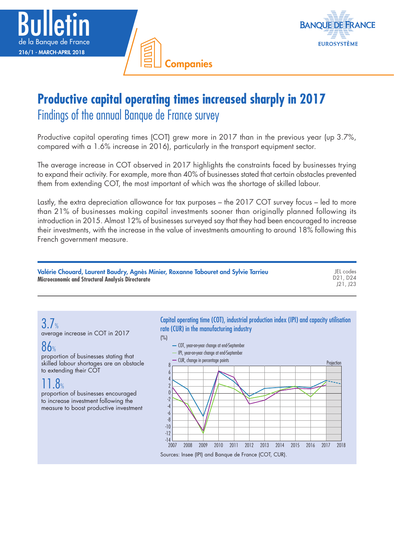





# **Productive capital operating times increased sharply in 2017** Findings of the annual Banque de France survey

Productive capital operating times (COT) grew more in 2017 than in the previous year (up 3.7%, compared with a 1.6% increase in 2016), particularly in the transport equipment sector.

The average increase in COT observed in 2017 highlights the constraints faced by businesses trying to expand their activity. For example, more than 40% of businesses stated that certain obstacles prevented them from extending COT, the most important of which was the shortage of skilled labour.

Lastly, the extra depreciation allowance for tax purposes – the 2017 COT survey focus – led to more than 21% of businesses making capital investments sooner than originally planned following its introduction in 2015. Almost 12% of businesses surveyed say that they had been encouraged to increase their investments, with the increase in the value of investments amounting to around 18% following this French government measure.

| Valérie Chouard, Laurent Baudry, Agnès Minier, Roxanne Tabouret and Sylvie Tarrieu<br>Microeconomic and Structural Analysis Directorate | JEL codes<br>D21, D24<br>$ 21 $ , $ 23 $ |
|-----------------------------------------------------------------------------------------------------------------------------------------|------------------------------------------|
|                                                                                                                                         |                                          |

3.7% average increase in COT in 2017

86% proportion of businesses stating that skilled labour shortages are an obstacle to extending their COT

# $.8<sub>%</sub>$

proportion of businesses encouraged to increase investment following the measure to boost productive investment Capital operating time (COT), industrial production index (IPI) and capacity utilisation rate (CUR) in the manufacturing industry

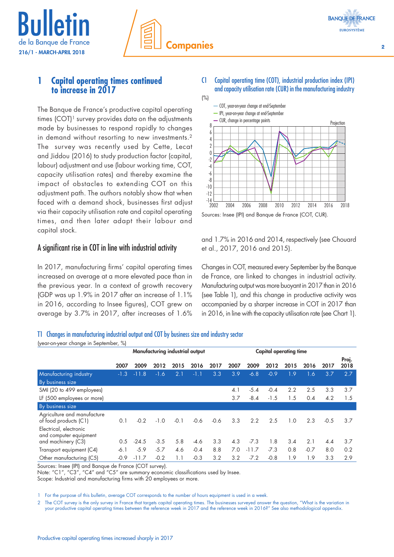



## **1 Capital operating times continued to increase in 2017**

The Banque de France's productive capital operating times (COT)<sup>1</sup> survey provides data on the adjustments made by businesses to respond rapidly to changes in demand without resorting to new investments.2 The survey was recently used by Cette, Lecat and Jiddou (2016) to study production factor (capital, labour) adjustment and use (labour working time, COT, capacity utilisation rates) and thereby examine the impact of obstacles to extending COT on this adjustment path. The authors notably show that when faced with a demand shock, businesses first adjust via their capacity utilisation rate and capital operating times, and then later adapt their labour and capital stock.

### A significant rise in COT in line with industrial activity

In 2017, manufacturing firms' capital operating times increased on average at a more elevated pace than in the previous year. In a context of growth recovery (GDP was up 1.9% in 2017 after an increase of 1.1% in 2016, according to Insee figures), COT grew on average by 3.7% in 2017, after increases of 1.6%

#### C1 Capital operating time (COT), industrial production index (IPI) and capacity utilisation rate (CUR) in the manufacturing industry



Sources: Insee (IPI) and Banque de France (COT, CUR).

and 1.7% in 2016 and 2014, respectively (see Chouard et al., 2017, 2016 and 2015).

Changes in COT, measured every September by the Banque de France, are linked to changes in industrial activity. Manufacturing output was more buoyant in 2017 than in 2016 (see Table 1), and this change in productive activity was accompanied by a sharper increase in COT in 2017 than in 2016, in line with the capacity utilisation rate (see Chart 1).

# T1 Changes in manufacturing industrial output and COT by business size and industry sector

| (year-on-year change in September, %)                |                                 |         |        |        |        |        |                               |         |        |      |        |        |               |
|------------------------------------------------------|---------------------------------|---------|--------|--------|--------|--------|-------------------------------|---------|--------|------|--------|--------|---------------|
|                                                      | Manufacturing industrial output |         |        |        |        |        | <b>Capital operating time</b> |         |        |      |        |        |               |
|                                                      | 2007                            | 2009    | 2012   | 2015   | 2016   | 2017   | 2007                          | 2009    | 2012   | 2015 | 2016   | 2017   | Proj.<br>2018 |
| Manufacturing industry                               | $-1.3$                          | $-11.8$ | $-1.6$ | 2.1    | $-1.1$ | 3.3    | 3.9                           | $-6.8$  | $-0.9$ | 1.9  | 1.6    | 3.7    | 2.7           |
| By business size                                     |                                 |         |        |        |        |        |                               |         |        |      |        |        |               |
| SMI (20 to 499 employees)                            |                                 |         |        |        |        |        | 4.1                           | $-5.4$  | $-0.4$ | 2.2  | 2.5    | 3.3    | 3.7           |
| LF (500 employees or more)                           |                                 |         |        |        |        |        | 3.7                           | $-8.4$  | $-1.5$ | 1.5  | 0.4    | 4.2    | 1.5           |
| By business size                                     |                                 |         |        |        |        |        |                               |         |        |      |        |        |               |
| Agriculture and manufacture<br>of food products (C1) | 0.1                             | $-0.2$  | $-1.0$ | $-0.1$ | $-0.6$ | $-0.6$ | 3.3                           | 2.2     | 2.5    | 1.0  | 2.3    | $-0.5$ | 3.7           |
| Electrical, electronic<br>and computer equipment     |                                 |         |        |        |        |        |                               |         |        |      |        |        |               |
| and machinery (C3)                                   | 0.5                             | $-24.5$ | $-3.5$ | 5.8    | $-4.6$ | 3.3    | 4.3                           | $-7.3$  | 1.8    | 3.4  | 2.1    | 4.4    | 3.7           |
| Transport equipment (C4)                             | -6.1                            | $-5.9$  | $-5.7$ | 4.6    | $-0.4$ | 8.8    | 7.0                           | $-11.7$ | $-7.3$ | 0.8  | $-0.7$ | 8.0    | 0.2           |
| Other manufacturing (C5)                             | $-0.9$                          | $-11.7$ | $-0.2$ | 1.1    | $-0.3$ | 3.2    | 3.2                           | $-7.2$  | $-0.8$ | 1.9  | 1.9    | 3.3    | 2.9           |

Sources: Insee (IPI) and Banque de France (COT survey).

Note: "C1", "C3", "C4" and "C5" are summary economic classifications used by Insee.

Scope: Industrial and manufacturing firms with 20 employees or more.

1 For the purpose of this bulletin, average COT corresponds to the number of hours equipment is used in a week.

2 The COT survey is the only survey in France that targets capital operating times. The businesses surveyed answer the question, "What is the variation in your productive capital operating times between the reference week in 2017 and the reference week in 2016?" See also methodological appendix.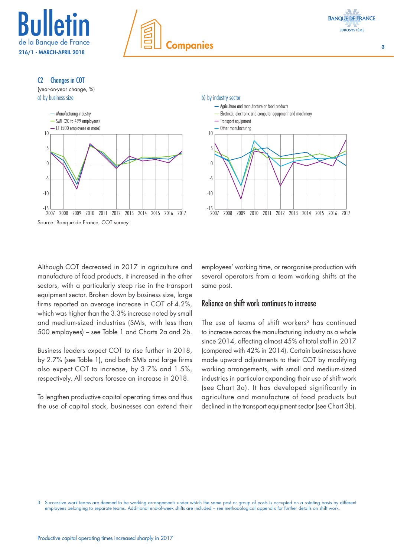

# **Companies** 3









# a) by business size b) by industry sector



Although COT decreased in 2017 in agriculture and manufacture of food products, it increased in the other sectors, with a particularly steep rise in the transport equipment sector. Broken down by business size, large firms reported an average increase in COT of 4.2%, which was higher than the 3.3% increase noted by small and medium-sized industries (SMIs, with less than 500 employees) – see Table 1 and Charts 2a and 2b.

Business leaders expect COT to rise further in 2018, by 2.7% (see Table 1), and both SMIs and large firms also expect COT to increase, by 3.7% and 1.5%, respectively. All sectors foresee an increase in 2018.

To lengthen productive capital operating times and thus the use of capital stock, businesses can extend their employees' working time, or reorganise production with several operators from a team working shifts at the same post.

## Reliance on shift work continues to increase

The use of teams of shift workers<sup>3</sup> has continued to increase across the manufacturing industry as a whole since 2014, affecting almost 45% of total staff in 2017 (compared with 42% in 2014). Certain businesses have made upward adjustments to their COT by modifying working arrangements, with small and medium-sized industries in particular expanding their use of shift work (see Chart 3a). It has developed significantly in agriculture and manufacture of food products but declined in the transport equipment sector (see Chart 3b).

<sup>3</sup> Successive work teams are deemed to be working arrangements under which the same post or group of posts is occupied on a rotating basis by different employees belonging to separate teams. Additional end-of-week shifts are included – see methodological appendix for further details on shift work.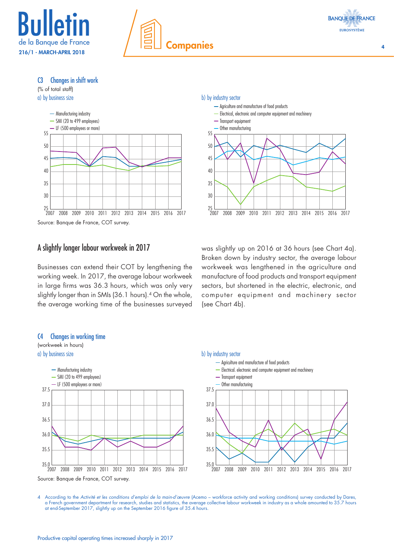



#### C3 Changes in shift work



# A slightly longer labour workweek in 2017

Businesses can extend their COT by lengthening the working week. In 2017, the average labour workweek in large firms was 36.3 hours, which was only very slightly longer than in SMIs (36.1 hours).4 On the whole, the average working time of the businesses surveyed



was slightly up on 2016 at 36 hours (see Chart 4a). Broken down by industry sector, the average labour workweek was lengthened in the agriculture and manufacture of food products and transport equipment sectors, but shortened in the electric, electronic, and computer equipment and machinery sector (see Chart 4b).



According to the *Activité et les conditions d'emploi de la main-d'œuvre* (Acemo – workforce activity and working conditions) survey conducted by Dares, a French government department for research, studies and statistics, the average collective labour workweek in industry as a whole amounted to 35.7 hours at end-September 2017, slightly up on the September 2016 figure of 35.4 hours.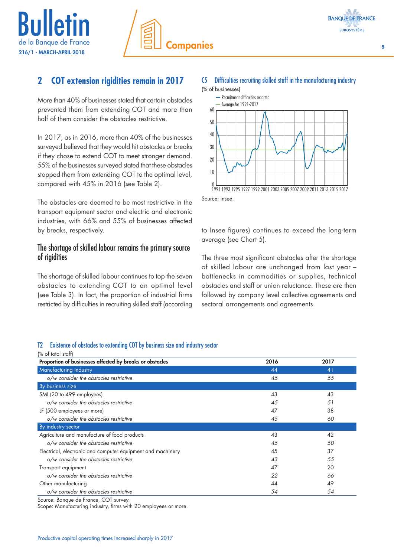



# **2 COT extension rigidities remain in 2017**

More than 40% of businesses stated that certain obstacles prevented them from extending COT and more than half of them consider the obstacles restrictive.

In 2017, as in 2016, more than 40% of the businesses surveyed believed that they would hit obstacles or breaks if they chose to extend COT to meet stronger demand. 55% of the businesses surveyed stated that these obstacles stopped them from extending COT to the optimal level, compared with 45% in 2016 (see Table 2).

The obstacles are deemed to be most restrictive in the transport equipment sector and electric and electronic industries, with 66% and 55% of businesses affected by breaks, respectively.

## The shortage of skilled labour remains the primary source of rigidities

The shortage of skilled labour continues to top the seven obstacles to extending COT to an optimal level (see Table 3). In fact, the proportion of industrial firms restricted by difficulties in recruiting skilled staff (according

# C5 Difficulties recruiting skilled staff in the manufacturing industry



Source: Insee.

to Insee figures) continues to exceed the long-term average (see Chart 5).

The three most significant obstacles after the shortage of skilled labour are unchanged from last year – bottlenecks in commodities or supplies, technical obstacles and staff or union reluctance. These are then followed by company level collective agreements and sectoral arrangements and agreements.

#### T2 Existence of obstacles to extending COT by business size and industry sector

| Proportion of businesses affected by breaks or obstacles    | 2016 | 2017 |
|-------------------------------------------------------------|------|------|
| Manufacturing industry                                      | 44   | 41   |
| o/w consider the obstacles restrictive                      | 45   | 55   |
| By business size                                            |      |      |
| SMI (20 to 499 employees)                                   | 43   | 43   |
| o/w consider the obstacles restrictive                      | 45   | 51   |
| LF (500 employees or more)                                  | 47   | 38   |
| o/w consider the obstacles restrictive                      | 45   | 60   |
| By industry sector                                          |      |      |
| Agriculture and manufacture of food products                | 43   | 42   |
| o/w consider the obstacles restrictive                      | 45   | 50   |
| Electrical, electronic and computer equipment and machinery | 45   | 37   |
| o/w consider the obstacles restrictive                      | 43   | 55   |
| Transport equipment                                         | 47   | 20   |
| o/w consider the obstacles restrictive                      | 22   | 66   |
| Other manufacturing                                         | 44   | 49   |
| o/w consider the obstacles restrictive                      | 54   | 54   |

Source: Banque de France, COT survey.

Scope: Manufacturing industry, firms with 20 employees or more.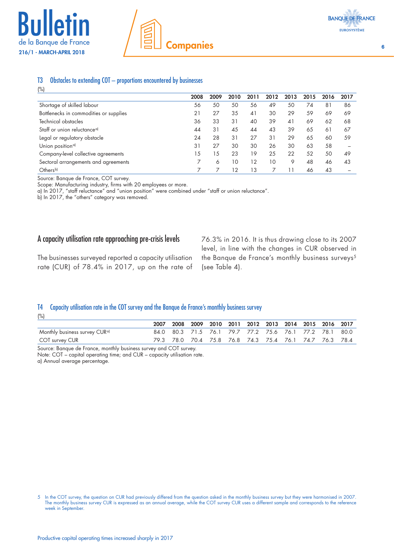



#### T3 Obstacles to extending COT – proportions encountered by businesses

| $(\%)$                                  |      |      |      |          |      |      |      |      |      |
|-----------------------------------------|------|------|------|----------|------|------|------|------|------|
|                                         | 2008 | 2009 | 2010 | 201      | 2012 | 2013 | 2015 | 2016 | 2017 |
| Shortage of skilled labour              | 56   | 50   | 50   | 56       | 49   | 50   | 74   | 81   | 86   |
| Bottlenecks in commodities or supplies  | 21   | 27   | 35   | $\Delta$ | 30   | 29   | 59   | 69   | 69   |
| Technical obstacles                     | 36   | 33   | 31   | 40       | 39   | 41   | 69   | 62   | 68   |
| Staff or union reluctance <sup>a)</sup> | 44   | 31   | 45   | 44       | 43   | 39   | 65   | 61   | 67   |
| Legal or regulatory obstacle            | 24   | 28   | 31   | 27       | 31   | 29   | 65   | 60   | 59   |
| Union position <sup>a)</sup>            | 31   | 27   | 30   | 30       | 26   | 30   | 63   | 58   |      |
| Company-level collective agreements     | 15   | 5    | 23   | 19       | 25   | 22   | 52   | 50   | 49   |
| Sectoral arrangements and agreements    |      | 6    | 10   | 12       | 10   | 9    | 48   | 46   | 43   |
| Others <sup>b)</sup>                    |      |      | 12   | 13       |      | 11   | 46   | 43   |      |

Source: Banque de France, COT survey.

Scope: Manufacturing industry, firms with 20 employees or more.

a) In 2017, "staff reluctance" and "union position" were combined under "staff or union reluctance".

b) In 2017, the "others" category was removed.

#### A capacity utilisation rate approaching pre‑crisis levels

The businesses surveyed reported a capacity utilisation rate (CUR) of 78.4% in 2017, up on the rate of 76.3% in 2016. It is thus drawing close to its 2007 level, in line with the changes in CUR observed in the Banque de France's monthly business surveys<sup>5</sup> (see Table 4).

#### T4 Capacity utilisation rate in the COT survey and the Banque de France's monthly business survey

(%)

|                                           |  |  | 2008 2009 2010 2011 2012 2013 2014 2015 2016 2017      |  |  |  |
|-------------------------------------------|--|--|--------------------------------------------------------|--|--|--|
| Monthly business survey CUR <sup>a)</sup> |  |  | 84.0 80.3 71.5 76.1 79.7 77.2 75.6 76.1 77.2 78.1 80.0 |  |  |  |
| COT survey CUR                            |  |  | 79.3 78.0 70.4 75.8 76.8 74.3 75.4 76.1 74.7 76.3 78.4 |  |  |  |

Source: Banque de France, monthly business survey and COT survey.

Note: COT – capital operating time; and CUR – capacity utilisation rate. a) Annual average percentage.

<sup>5</sup> In the COT survey, the question on CUR had previously differed from the question asked in the monthly business survey but they were harmonised in 2007. The monthly business survey CUR is expressed as an annual average, while the COT survey CUR uses a different sample and corresponds to the reference week in September.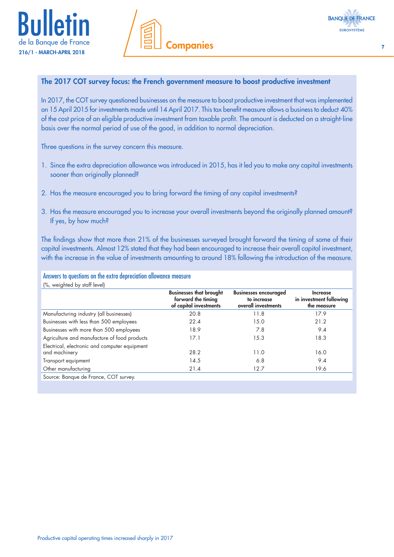





#### The 2017 COT survey focus: the French government measure to boost productive investment

In 2017, the COT survey questioned businesses on the measure to boost productive investment that was implemented on 15 April 2015 for investments made until 14 April 2017. This tax benefit measure allows a business to deduct 40% of the cost price of an eligible productive investment from taxable profit. The amount is deducted on a straight-line basis over the normal period of use of the good, in addition to normal depreciation.

Three questions in the survey concern this measure.

- 1. Since the extra depreciation allowance was introduced in 2015, has it led you to make any capital investments sooner than originally planned?
- 2. Has the measure encouraged you to bring forward the timing of any capital investments?
- 3. Has the measure encouraged you to increase your overall investments beyond the originally planned amount? If yes, by how much?

The findings show that more than 21% of the businesses surveyed brought forward the timing of some of their capital investments. Almost 12% stated that they had been encouraged to increase their overall capital investment, with the increase in the value of investments amounting to around 18% following the introduction of the measure.

Answers to questions on the extra depreciation allowance measure (%, weighted by staff level)

| (%, weighted by staff level)                                   | <b>Businesses that brought</b><br>forward the timing<br>of capital investments | <b>Businesses encouraged</b><br>to increase<br>overall investments | Increase<br>in investment following<br>the measure |
|----------------------------------------------------------------|--------------------------------------------------------------------------------|--------------------------------------------------------------------|----------------------------------------------------|
| Manufacturing industry (all businesses)                        | 20.8                                                                           | 11.8                                                               | 17.9                                               |
| Businesses with less than 500 employees                        | 22.4                                                                           | 15.0                                                               | 21.2                                               |
| Businesses with more than 500 employees                        | 18.9                                                                           | 7.8                                                                | 9.4                                                |
| Agriculture and manufacture of food products                   | 17.1                                                                           | 15.3                                                               | 18.3                                               |
| Electrical, electronic and computer equipment<br>and machinery | 28.2                                                                           | 11.0                                                               | 16.0                                               |
| Transport equipment                                            | 14.5                                                                           | 6.8                                                                | 9.4                                                |
| Other manufacturing                                            | 21.4                                                                           | 12.7                                                               | 19.6                                               |
| Source: Banque de France, COT survey.                          |                                                                                |                                                                    |                                                    |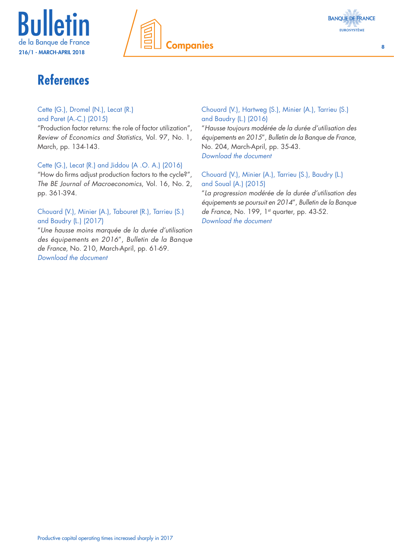

**Companies** 8



#### Cette (G.), Dromel (N.), Lecat (R.) and Paret (A.-C.) (2015)

"Production factor returns: the role of factor utilization", *Review of Economics and Statistics*, Vol. 97, No. 1, March, pp. 134-143.

#### Cette (G.), Lecat (R.) and Jiddou (A .O. A.) (2016)

"How do firms adjust production factors to the cycle?", *The BE Journal of Macroeconomics*, Vol. 16, No. 2, pp. 361-394.

#### Chouard (V.), Minier (A.), Tabouret (R.), Tarrieu (S.) and Baudry (L.) (2017)

"*Une hausse moins marquée de la durée d'utilisation des équipements en 2016*", *Bulletin de la Banque de France*, No. 210, March-April, pp. 61-69. *Download th[e document](https://publications.banque-france.fr/sites/default/files/medias/documents/bdf210_web.pdf)*

#### Chouard (V.), Hartweg (S.), Minier (A.), Tarrieu (S.) and Baudry (L.) (2016)

"*Hausse toujours modérée de la durée d'utilisation des équipements en 2015*", *Bulletin de la Banque de France*, No. 204, March-April, pp. 35-43. *Download th[e document](https://publications.banque-france.fr/sites/default/files/media/2016/12/06/bulletin-de-la-banque-de-france_204_2016-03-04.pdf)*

#### Chouard (V.), Minier (A.), Tarrieu (S.), Baudry (L.) and Soual (A.) (2015)

"*La progression modérée de la durée d'utilisation des équipements se poursuit en 2014*", *Bulletin de la Banque de France*, No. 199, 1st quarter, pp. 43-52. *Download th[e document](https://publications.banque-france.fr/sites/default/files/media/2016/12/07/bulletin-de-la-banque-de-france_199_2015-t1.pdf)*

**BANQUE DE FRANCE EUROSYSTÈME**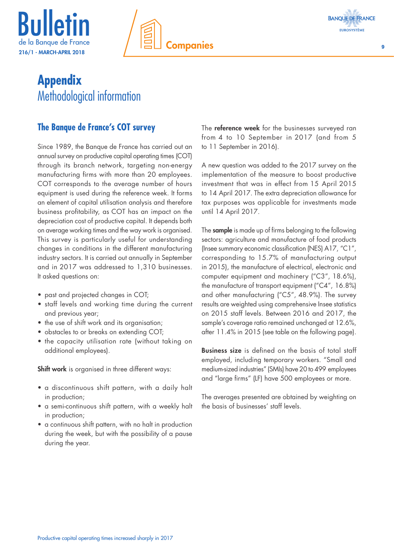





# **Appendix** Methodological information

# **The Banque de France's COT survey**

Since 1989, the Banque de France has carried out an annual survey on productive capital operating times (COT) through its branch network, targeting non-energy manufacturing firms with more than 20 employees. COT corresponds to the average number of hours equipment is used during the reference week. It forms an element of capital utilisation analysis and therefore business profitability, as COT has an impact on the depreciation cost of productive capital. It depends both on average working times and the way work is organised. This survey is particularly useful for understanding changes in conditions in the different manufacturing industry sectors. It is carried out annually in September and in 2017 was addressed to 1,310 businesses. It asked questions on:

- past and projected changes in COT;
- staff levels and working time during the current and previous year;
- the use of shift work and its organisation:
- obstacles to or breaks on extending COT;
- the capacity utilisation rate (without taking on additional employees).

Shift work is organised in three different ways:

- a discontinuous shift pattern, with a daily halt in production;
- a semi-continuous shift pattern, with a weekly halt in production;
- a continuous shift pattern, with no halt in production during the week, but with the possibility of a pause during the year.

The **reference week** for the businesses surveyed ran from 4 to 10 September in 2017 (and from 5 to 11 September in 2016).

A new question was added to the 2017 survey on the implementation of the measure to boost productive investment that was in effect from 15 April 2015 to 14 April 2017. The extra depreciation allowance for tax purposes was applicable for investments made until 14 April 2017.

The sample is made up of firms belonging to the following sectors: agriculture and manufacture of food products (Insee summary economic classification (NES) A17, "C1", corresponding to 15.7% of manufacturing output in 2015), the manufacture of electrical, electronic and computer equipment and machinery ("C3", 18.6%), the manufacture of transport equipment ("C4", 16.8%) and other manufacturing ("C5", 48.9%). The survey results are weighted using comprehensive Insee statistics on 2015 staff levels. Between 2016 and 2017, the sample's coverage ratio remained unchanged at 12.6%, after 11.4% in 2015 (see table on the following page).

Business size is defined on the basis of total staff employed, including temporary workers. "Small and medium-sized industries" (SMIs) have 20 to 499 employees and "large firms" (LF) have 500 employees or more.

The averages presented are obtained by weighting on the basis of businesses' staff levels.